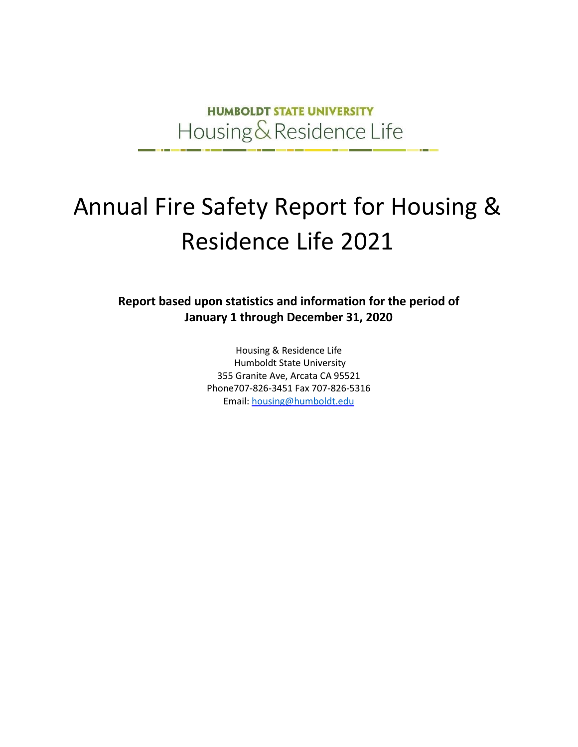**HUMBOLDT STATE UNIVERSITY** Housing & Residence Life

# Annual Fire Safety Report for Housing & Residence Life 2021

**Report based upon statistics and information for the period of January 1 through December 31, 2020**

> Housing & Residence Life Humboldt State University 355 Granite Ave, Arcata CA 95521 Phone707‐826‐3451 Fax 707‐826‐5316 Email[: housing@humboldt.edu](mailto:housing@humboldt.edu)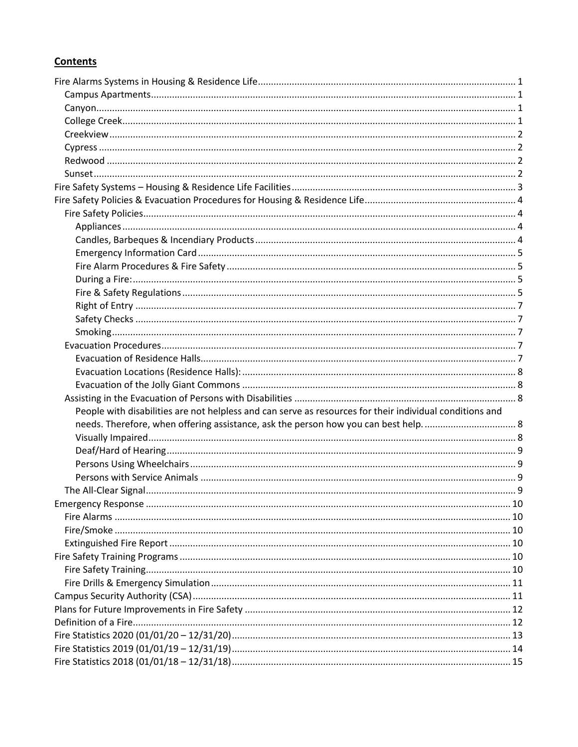### **Contents**

| People with disabilities are not helpless and can serve as resources for their individual conditions and |  |
|----------------------------------------------------------------------------------------------------------|--|
|                                                                                                          |  |
|                                                                                                          |  |
|                                                                                                          |  |
|                                                                                                          |  |
|                                                                                                          |  |
|                                                                                                          |  |
|                                                                                                          |  |
|                                                                                                          |  |
|                                                                                                          |  |
|                                                                                                          |  |
|                                                                                                          |  |
|                                                                                                          |  |
|                                                                                                          |  |
|                                                                                                          |  |
|                                                                                                          |  |
|                                                                                                          |  |
|                                                                                                          |  |
|                                                                                                          |  |
|                                                                                                          |  |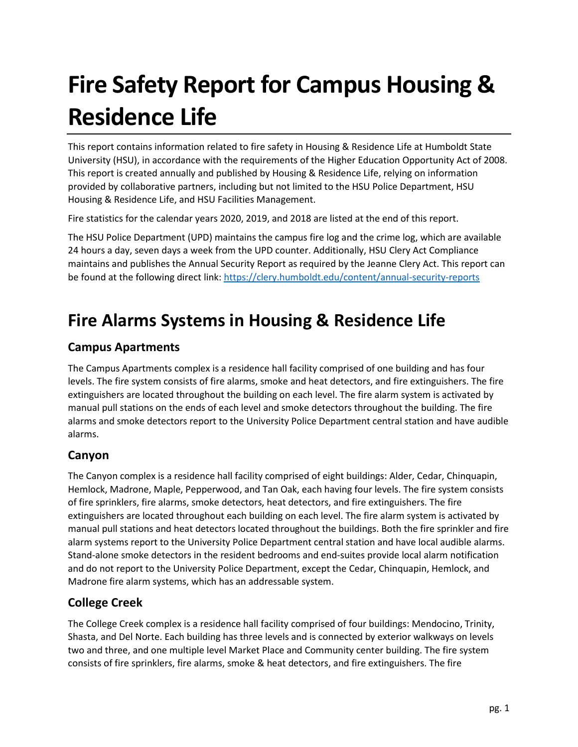# **Fire Safety Report for Campus Housing & Residence Life**

This report contains information related to fire safety in Housing & Residence Life at Humboldt State University (HSU), in accordance with the requirements of the Higher Education Opportunity Act of 2008. This report is created annually and published by Housing & Residence Life, relying on information provided by collaborative partners, including but not limited to the HSU Police Department, HSU Housing & Residence Life, and HSU Facilities Management.

Fire statistics for the calendar years 2020, 2019, and 2018 are listed at the end of this report.

The HSU Police Department (UPD) maintains the campus fire log and the crime log, which are available 24 hours a day, seven days a week from the UPD counter. Additionally, HSU Clery Act Compliance maintains and publishes the Annual Security Report as required by the Jeanne Clery Act. This report can be found at the following direct link: <https://clery.humboldt.edu/content/annual-security-reports>

# <span id="page-2-0"></span>**Fire Alarms Systems in Housing & Residence Life**

## <span id="page-2-1"></span>**Campus Apartments**

The Campus Apartments complex is a residence hall facility comprised of one building and has four levels. The fire system consists of fire alarms, smoke and heat detectors, and fire extinguishers. The fire extinguishers are located throughout the building on each level. The fire alarm system is activated by manual pull stations on the ends of each level and smoke detectors throughout the building. The fire alarms and smoke detectors report to the University Police Department central station and have audible alarms.

# <span id="page-2-2"></span>**Canyon**

The Canyon complex is a residence hall facility comprised of eight buildings: Alder, Cedar, Chinquapin, Hemlock, Madrone, Maple, Pepperwood, and Tan Oak, each having four levels. The fire system consists of fire sprinklers, fire alarms, smoke detectors, heat detectors, and fire extinguishers. The fire extinguishers are located throughout each building on each level. The fire alarm system is activated by manual pull stations and heat detectors located throughout the buildings. Both the fire sprinkler and fire alarm systems report to the University Police Department central station and have local audible alarms. Stand‐alone smoke detectors in the resident bedrooms and end‐suites provide local alarm notification and do not report to the University Police Department, except the Cedar, Chinquapin, Hemlock, and Madrone fire alarm systems, which has an addressable system.

## <span id="page-2-3"></span>**College Creek**

The College Creek complex is a residence hall facility comprised of four buildings: Mendocino, Trinity, Shasta, and Del Norte. Each building has three levels and is connected by exterior walkways on levels two and three, and one multiple level Market Place and Community center building. The fire system consists of fire sprinklers, fire alarms, smoke & heat detectors, and fire extinguishers. The fire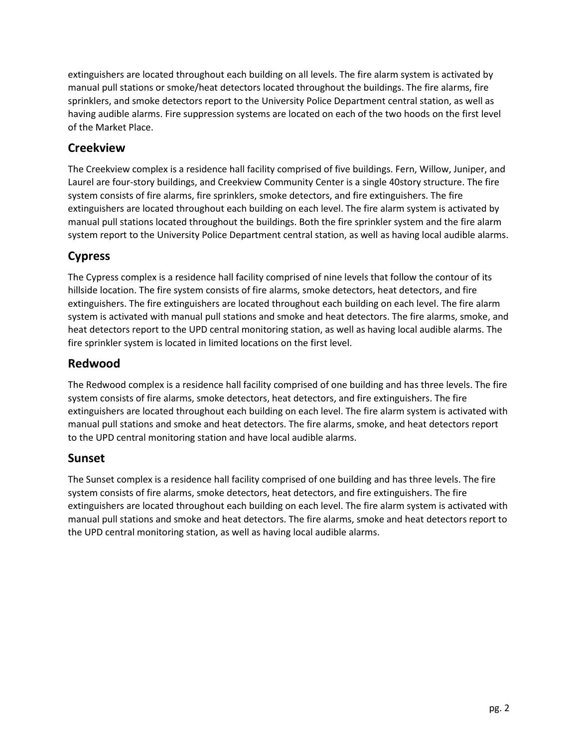extinguishers are located throughout each building on all levels. The fire alarm system is activated by manual pull stations or smoke/heat detectors located throughout the buildings. The fire alarms, fire sprinklers, and smoke detectors report to the University Police Department central station, as well as having audible alarms. Fire suppression systems are located on each of the two hoods on the first level of the Market Place.

## <span id="page-3-0"></span>**Creekview**

The Creekview complex is a residence hall facility comprised of five buildings. Fern, Willow, Juniper, and Laurel are four-story buildings, and Creekview Community Center is a single 40story structure. The fire system consists of fire alarms, fire sprinklers, smoke detectors, and fire extinguishers. The fire extinguishers are located throughout each building on each level. The fire alarm system is activated by manual pull stations located throughout the buildings. Both the fire sprinkler system and the fire alarm system report to the University Police Department central station, as well as having local audible alarms.

# <span id="page-3-1"></span>**Cypress**

The Cypress complex is a residence hall facility comprised of nine levels that follow the contour of its hillside location. The fire system consists of fire alarms, smoke detectors, heat detectors, and fire extinguishers. The fire extinguishers are located throughout each building on each level. The fire alarm system is activated with manual pull stations and smoke and heat detectors. The fire alarms, smoke, and heat detectors report to the UPD central monitoring station, as well as having local audible alarms. The fire sprinkler system is located in limited locations on the first level.

## <span id="page-3-2"></span>**Redwood**

The Redwood complex is a residence hall facility comprised of one building and has three levels. The fire system consists of fire alarms, smoke detectors, heat detectors, and fire extinguishers. The fire extinguishers are located throughout each building on each level. The fire alarm system is activated with manual pull stations and smoke and heat detectors. The fire alarms, smoke, and heat detectors report to the UPD central monitoring station and have local audible alarms.

### <span id="page-3-3"></span>**Sunset**

The Sunset complex is a residence hall facility comprised of one building and has three levels. The fire system consists of fire alarms, smoke detectors, heat detectors, and fire extinguishers. The fire extinguishers are located throughout each building on each level. The fire alarm system is activated with manual pull stations and smoke and heat detectors. The fire alarms, smoke and heat detectors report to the UPD central monitoring station, as well as having local audible alarms.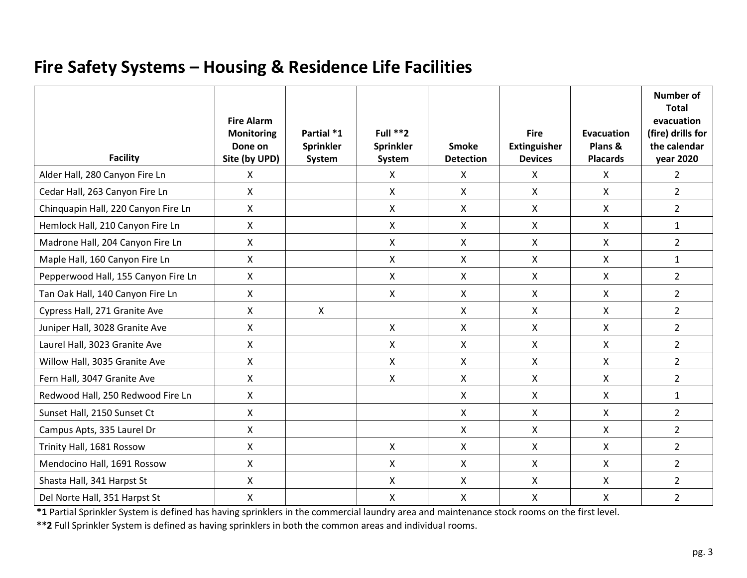# **Fire Safety Systems – Housing & Residence Life Facilities**

<span id="page-4-0"></span>

| <b>Facility</b>                     | <b>Fire Alarm</b><br><b>Monitoring</b><br>Done on<br>Site (by UPD) | Partial *1<br><b>Sprinkler</b><br>System | Full **2<br>Sprinkler<br>System | <b>Smoke</b><br><b>Detection</b> | <b>Fire</b><br><b>Extinguisher</b><br><b>Devices</b> | Evacuation<br>Plans &<br><b>Placards</b> | <b>Number of</b><br><b>Total</b><br>evacuation<br>(fire) drills for<br>the calendar<br><b>year 2020</b> |
|-------------------------------------|--------------------------------------------------------------------|------------------------------------------|---------------------------------|----------------------------------|------------------------------------------------------|------------------------------------------|---------------------------------------------------------------------------------------------------------|
| Alder Hall, 280 Canyon Fire Ln      | $\mathsf{X}$                                                       |                                          | X                               | $\mathsf{X}$                     | X                                                    | $\mathsf{X}$                             | $\overline{2}$                                                                                          |
| Cedar Hall, 263 Canyon Fire Ln      | X                                                                  |                                          | X                               | $\mathsf{X}$                     | $\mathsf{X}$                                         | $\mathsf{X}$                             | $\overline{2}$                                                                                          |
| Chinquapin Hall, 220 Canyon Fire Ln | $\mathsf{X}$                                                       |                                          | X                               | $\mathsf{X}$                     | $\mathsf{X}$                                         | $\mathsf{X}$                             | $2^{\circ}$                                                                                             |
| Hemlock Hall, 210 Canyon Fire Ln    | $\mathsf{X}$                                                       |                                          | X                               | $\mathsf{X}$                     | $\mathsf{X}$                                         | X                                        | $\mathbf{1}$                                                                                            |
| Madrone Hall, 204 Canyon Fire Ln    | $\mathsf{X}$                                                       |                                          | X                               | $\mathsf{X}$                     | X                                                    | $\mathsf{X}$                             | $\overline{2}$                                                                                          |
| Maple Hall, 160 Canyon Fire Ln      | $\mathsf{X}$                                                       |                                          | X                               | $\mathsf{X}$                     | X                                                    | $\mathsf{X}$                             | $\mathbf{1}$                                                                                            |
| Pepperwood Hall, 155 Canyon Fire Ln | $\mathsf{X}$                                                       |                                          | $\mathsf{X}$                    | $\mathsf{X}$                     | $\mathsf{X}$                                         | $\mathsf{X}$                             | $\overline{2}$                                                                                          |
| Tan Oak Hall, 140 Canyon Fire Ln    | $\mathsf{X}$                                                       |                                          | X                               | $\mathsf{X}$                     | X                                                    | X                                        | $\overline{2}$                                                                                          |
| Cypress Hall, 271 Granite Ave       | $\mathsf{X}$                                                       | $\boldsymbol{\mathsf{X}}$                |                                 | $\mathsf{X}$                     | X                                                    | X                                        | $\overline{2}$                                                                                          |
| Juniper Hall, 3028 Granite Ave      | X                                                                  |                                          | X                               | $\mathsf{X}$                     | X                                                    | X                                        | $\overline{2}$                                                                                          |
| Laurel Hall, 3023 Granite Ave       | $\mathsf{X}$                                                       |                                          | X                               | $\mathsf{X}$                     | X                                                    | X                                        | $\overline{2}$                                                                                          |
| Willow Hall, 3035 Granite Ave       | $\mathsf{X}$                                                       |                                          | X                               | $\mathsf{X}$                     | X                                                    | X                                        | $\overline{2}$                                                                                          |
| Fern Hall, 3047 Granite Ave         | $\mathsf{X}$                                                       |                                          | $\mathsf{X}$                    | $\mathsf{X}$                     | $\mathsf{X}$                                         | $\mathsf{X}$                             | $\overline{2}$                                                                                          |
| Redwood Hall, 250 Redwood Fire Ln   | X                                                                  |                                          |                                 | $\mathsf{X}$                     | $\mathsf{X}$                                         | X                                        | $\mathbf{1}$                                                                                            |
| Sunset Hall, 2150 Sunset Ct         | $\mathsf{X}$                                                       |                                          |                                 | $\mathsf{X}$                     | X                                                    | X                                        | $\overline{2}$                                                                                          |
| Campus Apts, 335 Laurel Dr          | $\mathsf{X}$                                                       |                                          |                                 | $\mathsf{X}$                     | X                                                    | $\mathsf{X}$                             | $2^{\circ}$                                                                                             |
| Trinity Hall, 1681 Rossow           | $\mathsf{X}$                                                       |                                          | $\mathsf{X}$                    | $\mathsf{X}$                     | X                                                    | $\mathsf{X}$                             | $\overline{2}$                                                                                          |
| Mendocino Hall, 1691 Rossow         | $\mathsf{X}$                                                       |                                          | X                               | $\mathsf{X}$                     | X                                                    | $\mathsf{X}$                             | $\overline{2}$                                                                                          |
| Shasta Hall, 341 Harpst St          | $\mathsf{X}$                                                       |                                          | X                               | $\mathsf{X}$                     | X                                                    | X                                        | $\overline{2}$                                                                                          |
| Del Norte Hall, 351 Harpst St       | $\mathsf{X}$                                                       |                                          | X                               | $\mathsf{X}$                     | Χ                                                    | X                                        | $\overline{2}$                                                                                          |

**\*1** Partial Sprinkler System is defined has having sprinklers in the commercial laundry area and maintenance stock rooms on the first level.

**\*\*2** Full Sprinkler System is defined as having sprinklers in both the common areas and individual rooms.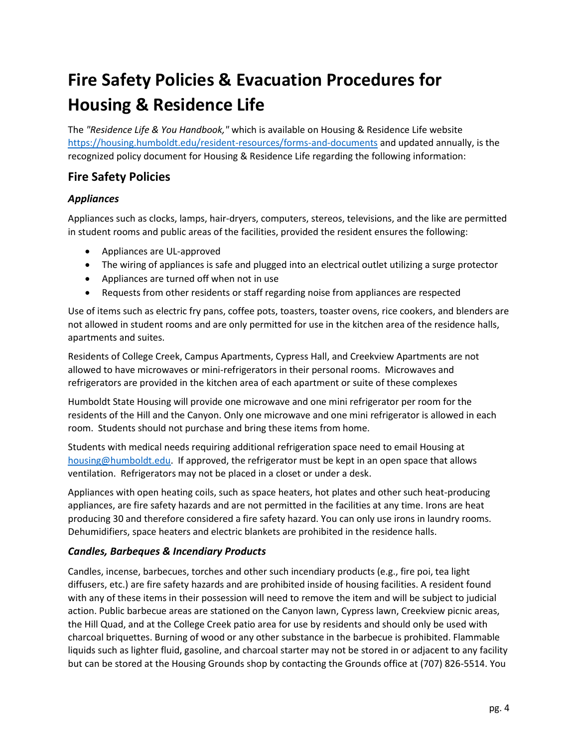# <span id="page-5-0"></span>**Fire Safety Policies & Evacuation Procedures for Housing & Residence Life**

The *"Residence Life & You Handbook,"* which is available on Housing & Residence Life website <https://housing.humboldt.edu/resident-resources/forms-and-documents> and updated annually, is the recognized policy document for Housing & Residence Life regarding the following information:

# <span id="page-5-1"></span>**Fire Safety Policies**

### <span id="page-5-2"></span>*Appliances*

Appliances such as clocks, lamps, hair-dryers, computers, stereos, televisions, and the like are permitted in student rooms and public areas of the facilities, provided the resident ensures the following:

- Appliances are UL-approved
- The wiring of appliances is safe and plugged into an electrical outlet utilizing a surge protector
- Appliances are turned off when not in use
- Requests from other residents or staff regarding noise from appliances are respected

Use of items such as electric fry pans, coffee pots, toasters, toaster ovens, rice cookers, and blenders are not allowed in student rooms and are only permitted for use in the kitchen area of the residence halls, apartments and suites.

Residents of College Creek, Campus Apartments, Cypress Hall, and Creekview Apartments are not allowed to have microwaves or mini-refrigerators in their personal rooms. Microwaves and refrigerators are provided in the kitchen area of each apartment or suite of these complexes

Humboldt State Housing will provide one microwave and one mini refrigerator per room for the residents of the Hill and the Canyon. Only one microwave and one mini refrigerator is allowed in each room. Students should not purchase and bring these items from home.

Students with medical needs requiring additional refrigeration space need to email Housing at [housing@humboldt.edu.](mailto:housing@humboldt.edu) If approved, the refrigerator must be kept in an open space that allows ventilation. Refrigerators may not be placed in a closet or under a desk.

Appliances with open heating coils, such as space heaters, hot plates and other such heat-producing appliances, are fire safety hazards and are not permitted in the facilities at any time. Irons are heat producing 30 and therefore considered a fire safety hazard. You can only use irons in laundry rooms. Dehumidifiers, space heaters and electric blankets are prohibited in the residence halls.

#### <span id="page-5-3"></span>*Candles, Barbeques & Incendiary Products*

Candles, incense, barbecues, torches and other such incendiary products (e.g., fire poi, tea light diffusers, etc.) are fire safety hazards and are prohibited inside of housing facilities. A resident found with any of these items in their possession will need to remove the item and will be subject to judicial action. Public barbecue areas are stationed on the Canyon lawn, Cypress lawn, Creekview picnic areas, the Hill Quad, and at the College Creek patio area for use by residents and should only be used with charcoal briquettes. Burning of wood or any other substance in the barbecue is prohibited. Flammable liquids such as lighter fluid, gasoline, and charcoal starter may not be stored in or adjacent to any facility but can be stored at the Housing Grounds shop by contacting the Grounds office at (707) 826-5514. You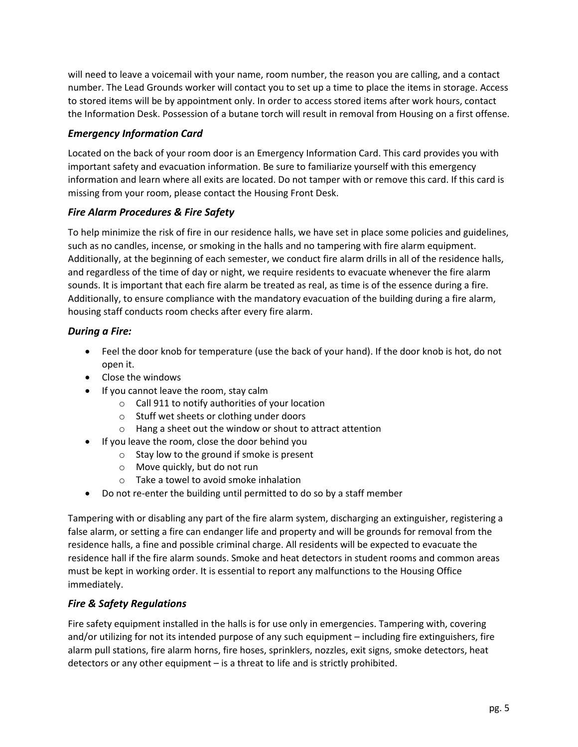will need to leave a voicemail with your name, room number, the reason you are calling, and a contact number. The Lead Grounds worker will contact you to set up a time to place the items in storage. Access to stored items will be by appointment only. In order to access stored items after work hours, contact the Information Desk. Possession of a butane torch will result in removal from Housing on a first offense.

#### <span id="page-6-0"></span>*Emergency Information Card*

Located on the back of your room door is an Emergency Information Card. This card provides you with important safety and evacuation information. Be sure to familiarize yourself with this emergency information and learn where all exits are located. Do not tamper with or remove this card. If this card is missing from your room, please contact the Housing Front Desk.

#### <span id="page-6-1"></span>*Fire Alarm Procedures & Fire Safety*

To help minimize the risk of fire in our residence halls, we have set in place some policies and guidelines, such as no candles, incense, or smoking in the halls and no tampering with fire alarm equipment. Additionally, at the beginning of each semester, we conduct fire alarm drills in all of the residence halls, and regardless of the time of day or night, we require residents to evacuate whenever the fire alarm sounds. It is important that each fire alarm be treated as real, as time is of the essence during a fire. Additionally, to ensure compliance with the mandatory evacuation of the building during a fire alarm, housing staff conducts room checks after every fire alarm.

#### <span id="page-6-2"></span>*During a Fire:*

- Feel the door knob for temperature (use the back of your hand). If the door knob is hot, do not open it.
- Close the windows
- If you cannot leave the room, stay calm
	- o Call 911 to notify authorities of your location
	- o Stuff wet sheets or clothing under doors
	- o Hang a sheet out the window or shout to attract attention
- If you leave the room, close the door behind you
	- o Stay low to the ground if smoke is present
	- o Move quickly, but do not run
	- o Take a towel to avoid smoke inhalation
- Do not re-enter the building until permitted to do so by a staff member

Tampering with or disabling any part of the fire alarm system, discharging an extinguisher, registering a false alarm, or setting a fire can endanger life and property and will be grounds for removal from the residence halls, a fine and possible criminal charge. All residents will be expected to evacuate the residence hall if the fire alarm sounds. Smoke and heat detectors in student rooms and common areas must be kept in working order. It is essential to report any malfunctions to the Housing Office immediately.

#### <span id="page-6-3"></span>*Fire & Safety Regulations*

Fire safety equipment installed in the halls is for use only in emergencies. Tampering with, covering and/or utilizing for not its intended purpose of any such equipment – including fire extinguishers, fire alarm pull stations, fire alarm horns, fire hoses, sprinklers, nozzles, exit signs, smoke detectors, heat detectors or any other equipment – is a threat to life and is strictly prohibited.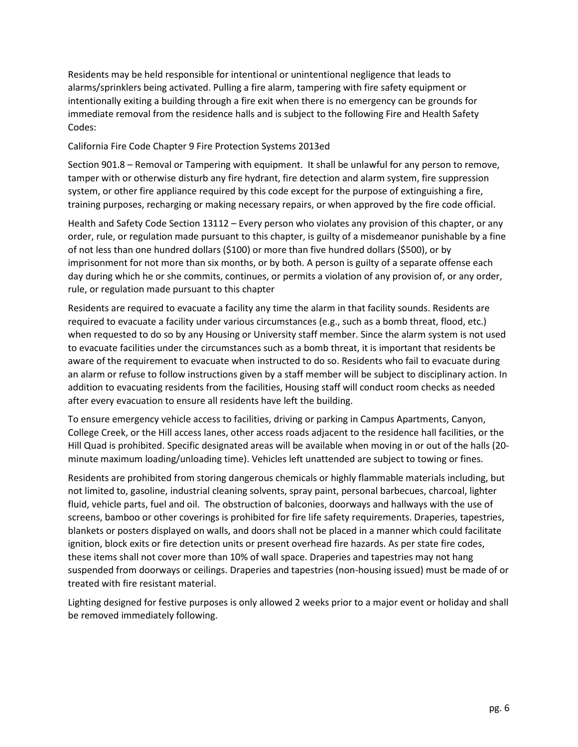Residents may be held responsible for intentional or unintentional negligence that leads to alarms/sprinklers being activated. Pulling a fire alarm, tampering with fire safety equipment or intentionally exiting a building through a fire exit when there is no emergency can be grounds for immediate removal from the residence halls and is subject to the following Fire and Health Safety Codes:

#### California Fire Code Chapter 9 Fire Protection Systems 2013ed

Section 901.8 – Removal or Tampering with equipment. It shall be unlawful for any person to remove, tamper with or otherwise disturb any fire hydrant, fire detection and alarm system, fire suppression system, or other fire appliance required by this code except for the purpose of extinguishing a fire, training purposes, recharging or making necessary repairs, or when approved by the fire code official.

Health and Safety Code Section 13112 – Every person who violates any provision of this chapter, or any order, rule, or regulation made pursuant to this chapter, is guilty of a misdemeanor punishable by a fine of not less than one hundred dollars (\$100) or more than five hundred dollars (\$500), or by imprisonment for not more than six months, or by both. A person is guilty of a separate offense each day during which he or she commits, continues, or permits a violation of any provision of, or any order, rule, or regulation made pursuant to this chapter

Residents are required to evacuate a facility any time the alarm in that facility sounds. Residents are required to evacuate a facility under various circumstances (e.g., such as a bomb threat, flood, etc.) when requested to do so by any Housing or University staff member. Since the alarm system is not used to evacuate facilities under the circumstances such as a bomb threat, it is important that residents be aware of the requirement to evacuate when instructed to do so. Residents who fail to evacuate during an alarm or refuse to follow instructions given by a staff member will be subject to disciplinary action. In addition to evacuating residents from the facilities, Housing staff will conduct room checks as needed after every evacuation to ensure all residents have left the building.

To ensure emergency vehicle access to facilities, driving or parking in Campus Apartments, Canyon, College Creek, or the Hill access lanes, other access roads adjacent to the residence hall facilities, or the Hill Quad is prohibited. Specific designated areas will be available when moving in or out of the halls (20 minute maximum loading/unloading time). Vehicles left unattended are subject to towing or fines.

Residents are prohibited from storing dangerous chemicals or highly flammable materials including, but not limited to, gasoline, industrial cleaning solvents, spray paint, personal barbecues, charcoal, lighter fluid, vehicle parts, fuel and oil. The obstruction of balconies, doorways and hallways with the use of screens, bamboo or other coverings is prohibited for fire life safety requirements. Draperies, tapestries, blankets or posters displayed on walls, and doors shall not be placed in a manner which could facilitate ignition, block exits or fire detection units or present overhead fire hazards. As per state fire codes, these items shall not cover more than 10% of wall space. Draperies and tapestries may not hang suspended from doorways or ceilings. Draperies and tapestries (non-housing issued) must be made of or treated with fire resistant material.

Lighting designed for festive purposes is only allowed 2 weeks prior to a major event or holiday and shall be removed immediately following.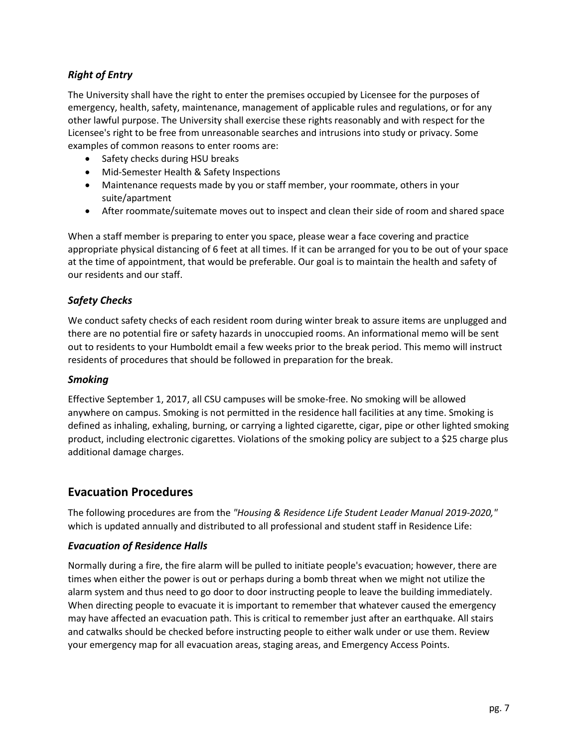### <span id="page-8-0"></span>*Right of Entry*

The University shall have the right to enter the premises occupied by Licensee for the purposes of emergency, health, safety, maintenance, management of applicable rules and regulations, or for any other lawful purpose. The University shall exercise these rights reasonably and with respect for the Licensee's right to be free from unreasonable searches and intrusions into study or privacy. Some examples of common reasons to enter rooms are:

- Safety checks during HSU breaks
- Mid-Semester Health & Safety Inspections
- Maintenance requests made by you or staff member, your roommate, others in your suite/apartment
- After roommate/suitemate moves out to inspect and clean their side of room and shared space

When a staff member is preparing to enter you space, please wear a face covering and practice appropriate physical distancing of 6 feet at all times. If it can be arranged for you to be out of your space at the time of appointment, that would be preferable. Our goal is to maintain the health and safety of our residents and our staff.

#### <span id="page-8-1"></span>*Safety Checks*

We conduct safety checks of each resident room during winter break to assure items are unplugged and there are no potential fire or safety hazards in unoccupied rooms. An informational memo will be sent out to residents to your Humboldt email a few weeks prior to the break period. This memo will instruct residents of procedures that should be followed in preparation for the break.

#### <span id="page-8-2"></span>*Smoking*

Effective September 1, 2017, all CSU campuses will be smoke-free. No smoking will be allowed anywhere on campus. Smoking is not permitted in the residence hall facilities at any time. Smoking is defined as inhaling, exhaling, burning, or carrying a lighted cigarette, cigar, pipe or other lighted smoking product, including electronic cigarettes. Violations of the smoking policy are subject to a \$25 charge plus additional damage charges.

### <span id="page-8-3"></span>**Evacuation Procedures**

The following procedures are from the *"Housing & Residence Life Student Leader Manual 2019-2020,"* which is updated annually and distributed to all professional and student staff in Residence Life:

#### <span id="page-8-4"></span>*Evacuation of Residence Halls*

Normally during a fire, the fire alarm will be pulled to initiate people's evacuation; however, there are times when either the power is out or perhaps during a bomb threat when we might not utilize the alarm system and thus need to go door to door instructing people to leave the building immediately. When directing people to evacuate it is important to remember that whatever caused the emergency may have affected an evacuation path. This is critical to remember just after an earthquake. All stairs and catwalks should be checked before instructing people to either walk under or use them. Review your emergency map for all evacuation areas, staging areas, and Emergency Access Points.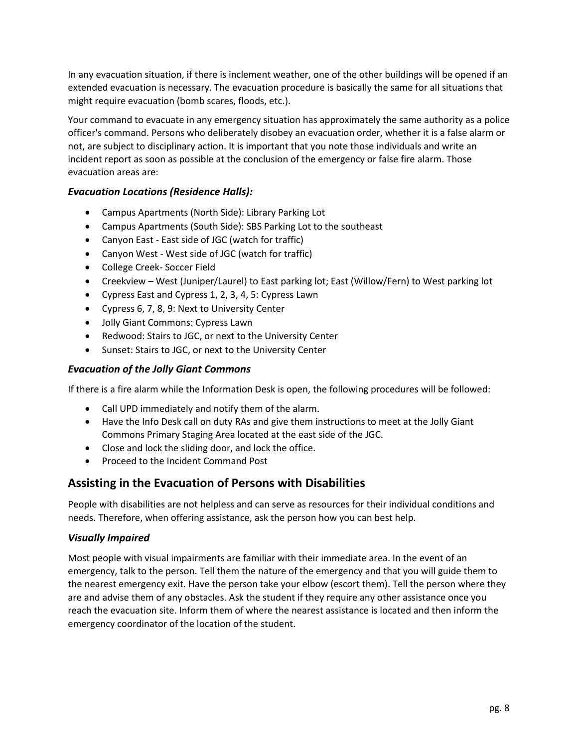In any evacuation situation, if there is inclement weather, one of the other buildings will be opened if an extended evacuation is necessary. The evacuation procedure is basically the same for all situations that might require evacuation (bomb scares, floods, etc.).

Your command to evacuate in any emergency situation has approximately the same authority as a police officer's command. Persons who deliberately disobey an evacuation order, whether it is a false alarm or not, are subject to disciplinary action. It is important that you note those individuals and write an incident report as soon as possible at the conclusion of the emergency or false fire alarm. Those evacuation areas are:

#### <span id="page-9-0"></span>*Evacuation Locations (Residence Halls):*

- Campus Apartments (North Side): Library Parking Lot
- Campus Apartments (South Side): SBS Parking Lot to the southeast
- Canyon East East side of JGC (watch for traffic)
- Canyon West ‐ West side of JGC (watch for traffic)
- College Creek‐ Soccer Field
- Creekview West (Juniper/Laurel) to East parking lot; East (Willow/Fern) to West parking lot
- Cypress East and Cypress 1, 2, 3, 4, 5: Cypress Lawn
- Cypress 6, 7, 8, 9: Next to University Center
- Jolly Giant Commons: Cypress Lawn
- Redwood: Stairs to JGC, or next to the University Center
- Sunset: Stairs to JGC, or next to the University Center

#### <span id="page-9-1"></span>*Evacuation of the Jolly Giant Commons*

If there is a fire alarm while the Information Desk is open, the following procedures will be followed:

- Call UPD immediately and notify them of the alarm.
- Have the Info Desk call on duty RAs and give them instructions to meet at the Jolly Giant Commons Primary Staging Area located at the east side of the JGC.
- Close and lock the sliding door, and lock the office.
- Proceed to the Incident Command Post

#### <span id="page-9-2"></span>**Assisting in the Evacuation of Persons with Disabilities**

<span id="page-9-3"></span>People with disabilities are not helpless and can serve as resources for their individual conditions and needs. Therefore, when offering assistance, ask the person how you can best help.

#### <span id="page-9-4"></span>*Visually Impaired*

Most people with visual impairments are familiar with their immediate area. In the event of an emergency, talk to the person. Tell them the nature of the emergency and that you will guide them to the nearest emergency exit. Have the person take your elbow (escort them). Tell the person where they are and advise them of any obstacles. Ask the student if they require any other assistance once you reach the evacuation site. Inform them of where the nearest assistance is located and then inform the emergency coordinator of the location of the student.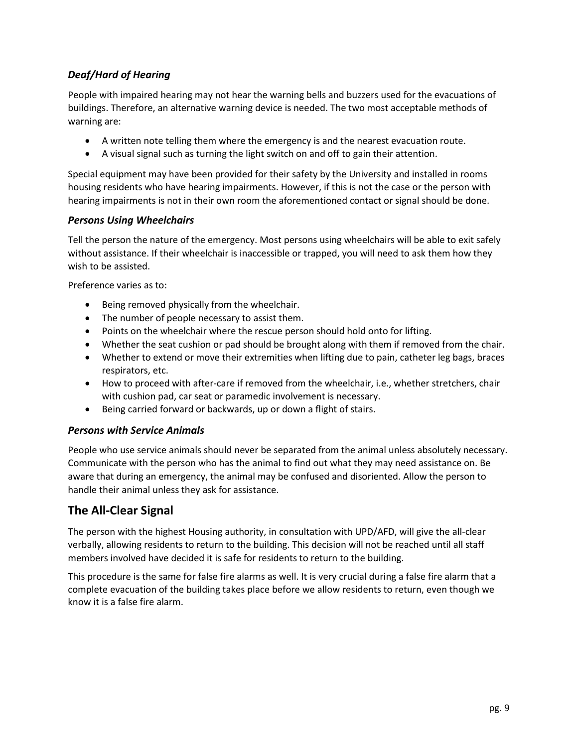### <span id="page-10-0"></span>*Deaf/Hard of Hearing*

People with impaired hearing may not hear the warning bells and buzzers used for the evacuations of buildings. Therefore, an alternative warning device is needed. The two most acceptable methods of warning are:

- A written note telling them where the emergency is and the nearest evacuation route.
- A visual signal such as turning the light switch on and off to gain their attention.

Special equipment may have been provided for their safety by the University and installed in rooms housing residents who have hearing impairments. However, if this is not the case or the person with hearing impairments is not in their own room the aforementioned contact or signal should be done.

#### <span id="page-10-1"></span>*Persons Using Wheelchairs*

Tell the person the nature of the emergency. Most persons using wheelchairs will be able to exit safely without assistance. If their wheelchair is inaccessible or trapped, you will need to ask them how they wish to be assisted.

Preference varies as to:

- Being removed physically from the wheelchair.
- The number of people necessary to assist them.
- Points on the wheelchair where the rescue person should hold onto for lifting.
- Whether the seat cushion or pad should be brought along with them if removed from the chair.
- Whether to extend or move their extremities when lifting due to pain, catheter leg bags, braces respirators, etc.
- How to proceed with after-care if removed from the wheelchair, i.e., whether stretchers, chair with cushion pad, car seat or paramedic involvement is necessary.
- Being carried forward or backwards, up or down a flight of stairs.

#### <span id="page-10-2"></span>*Persons with Service Animals*

People who use service animals should never be separated from the animal unless absolutely necessary. Communicate with the person who has the animal to find out what they may need assistance on. Be aware that during an emergency, the animal may be confused and disoriented. Allow the person to handle their animal unless they ask for assistance.

### <span id="page-10-3"></span>**The All‐Clear Signal**

The person with the highest Housing authority, in consultation with UPD/AFD, will give the all-clear verbally, allowing residents to return to the building. This decision will not be reached until all staff members involved have decided it is safe for residents to return to the building.

This procedure is the same for false fire alarms as well. It is very crucial during a false fire alarm that a complete evacuation of the building takes place before we allow residents to return, even though we know it is a false fire alarm.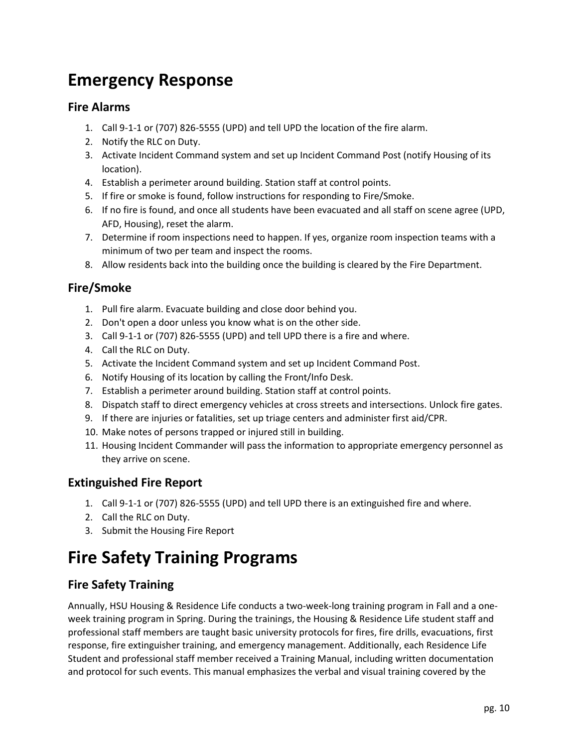# <span id="page-11-0"></span>**Emergency Response**

### <span id="page-11-1"></span>**Fire Alarms**

- 1. Call 9-1-1 or (707) 826-5555 (UPD) and tell UPD the location of the fire alarm.
- 2. Notify the RLC on Duty.
- 3. Activate Incident Command system and set up Incident Command Post (notify Housing of its location).
- 4. Establish a perimeter around building. Station staff at control points.
- 5. If fire or smoke is found, follow instructions for responding to Fire/Smoke.
- 6. If no fire is found, and once all students have been evacuated and all staff on scene agree (UPD, AFD, Housing), reset the alarm.
- 7. Determine if room inspections need to happen. If yes, organize room inspection teams with a minimum of two per team and inspect the rooms.
- 8. Allow residents back into the building once the building is cleared by the Fire Department.

### <span id="page-11-2"></span>**Fire/Smoke**

- 1. Pull fire alarm. Evacuate building and close door behind you.
- 2. Don't open a door unless you know what is on the other side.
- 3. Call 9-1-1 or (707) 826-5555 (UPD) and tell UPD there is a fire and where.
- 4. Call the RLC on Duty.
- 5. Activate the Incident Command system and set up Incident Command Post.
- 6. Notify Housing of its location by calling the Front/Info Desk.
- 7. Establish a perimeter around building. Station staff at control points.
- 8. Dispatch staff to direct emergency vehicles at cross streets and intersections. Unlock fire gates.
- 9. If there are injuries or fatalities, set up triage centers and administer first aid/CPR.
- 10. Make notes of persons trapped or injured still in building.
- 11. Housing Incident Commander will pass the information to appropriate emergency personnel as they arrive on scene.

### <span id="page-11-3"></span>**Extinguished Fire Report**

- 1. Call 9-1-1 or (707) 826-5555 (UPD) and tell UPD there is an extinguished fire and where.
- 2. Call the RLC on Duty.
- 3. Submit the Housing Fire Report

# <span id="page-11-4"></span>**Fire Safety Training Programs**

### <span id="page-11-5"></span>**Fire Safety Training**

Annually, HSU Housing & Residence Life conducts a two-week-long training program in Fall and a oneweek training program in Spring. During the trainings, the Housing & Residence Life student staff and professional staff members are taught basic university protocols for fires, fire drills, evacuations, first response, fire extinguisher training, and emergency management. Additionally, each Residence Life Student and professional staff member received a Training Manual, including written documentation and protocol for such events. This manual emphasizes the verbal and visual training covered by the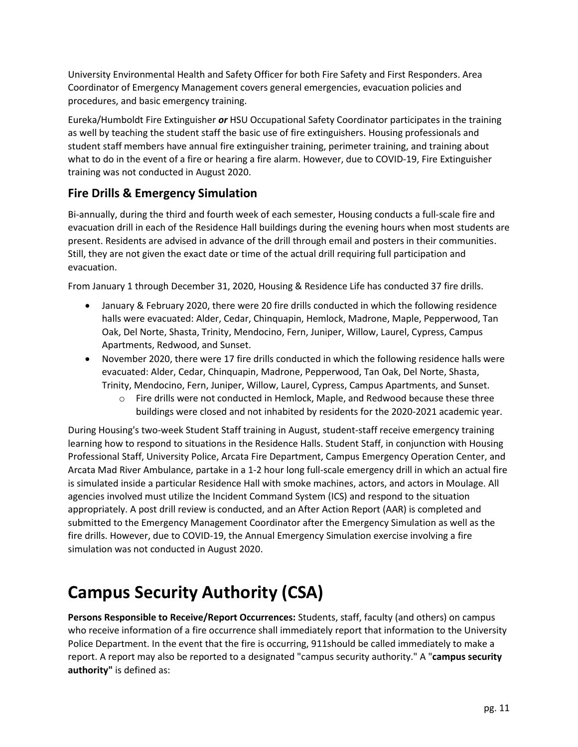University Environmental Health and Safety Officer for both Fire Safety and First Responders. Area Coordinator of Emergency Management covers general emergencies, evacuation policies and procedures, and basic emergency training.

Eureka/Humboldt Fire Extinguisher *or* HSU Occupational Safety Coordinator participates in the training as well by teaching the student staff the basic use of fire extinguishers. Housing professionals and student staff members have annual fire extinguisher training, perimeter training, and training about what to do in the event of a fire or hearing a fire alarm. However, due to COVID-19, Fire Extinguisher training was not conducted in August 2020.

# <span id="page-12-0"></span>**Fire Drills & Emergency Simulation**

Bi-annually, during the third and fourth week of each semester, Housing conducts a full-scale fire and evacuation drill in each of the Residence Hall buildings during the evening hours when most students are present. Residents are advised in advance of the drill through email and posters in their communities. Still, they are not given the exact date or time of the actual drill requiring full participation and evacuation.

From January 1 through December 31, 2020, Housing & Residence Life has conducted 37 fire drills.

- January & February 2020, there were 20 fire drills conducted in which the following residence halls were evacuated: Alder, Cedar, Chinquapin, Hemlock, Madrone, Maple, Pepperwood, Tan Oak, Del Norte, Shasta, Trinity, Mendocino, Fern, Juniper, Willow, Laurel, Cypress, Campus Apartments, Redwood, and Sunset.
- November 2020, there were 17 fire drills conducted in which the following residence halls were evacuated: Alder, Cedar, Chinquapin, Madrone, Pepperwood, Tan Oak, Del Norte, Shasta, Trinity, Mendocino, Fern, Juniper, Willow, Laurel, Cypress, Campus Apartments, and Sunset.
	- $\circ$  Fire drills were not conducted in Hemlock, Maple, and Redwood because these three buildings were closed and not inhabited by residents for the 2020-2021 academic year.

During Housing's two-week Student Staff training in August, student‐staff receive emergency training learning how to respond to situations in the Residence Halls. Student Staff, in conjunction with Housing Professional Staff, University Police, Arcata Fire Department, Campus Emergency Operation Center, and Arcata Mad River Ambulance, partake in a 1‐2 hour long full‐scale emergency drill in which an actual fire is simulated inside a particular Residence Hall with smoke machines, actors, and actors in Moulage. All agencies involved must utilize the Incident Command System (ICS) and respond to the situation appropriately. A post drill review is conducted, and an After Action Report (AAR) is completed and submitted to the Emergency Management Coordinator after the Emergency Simulation as well as the fire drills. However, due to COVID-19, the Annual Emergency Simulation exercise involving a fire simulation was not conducted in August 2020.

# <span id="page-12-1"></span>**Campus Security Authority (CSA)**

**Persons Responsible to Receive/Report Occurrences:** Students, staff, faculty (and others) on campus who receive information of a fire occurrence shall immediately report that information to the University Police Department. In the event that the fire is occurring, 911should be called immediately to make a report. A report may also be reported to a designated "campus security authority." A "**campus security authority"** is defined as: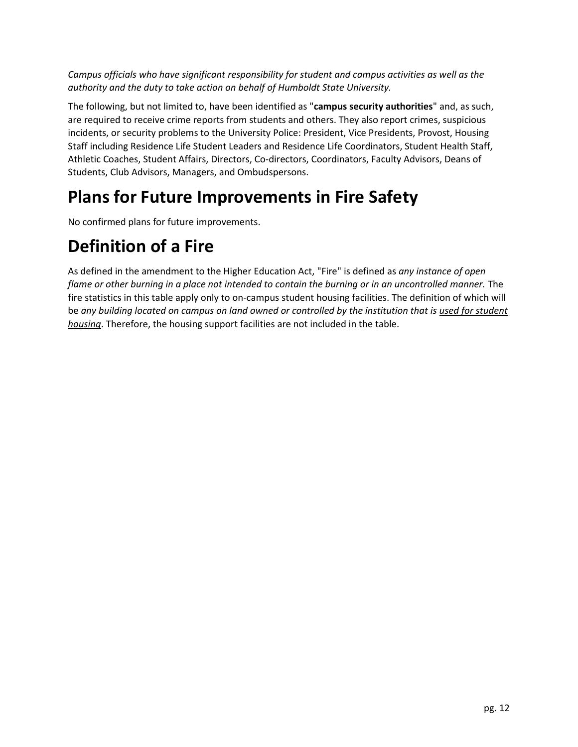*Campus officials who have significant responsibility for student and campus activities as well as the authority and the duty to take action on behalf of Humboldt State University.* 

The following, but not limited to, have been identified as "**campus security authorities**" and, as such, are required to receive crime reports from students and others. They also report crimes, suspicious incidents, or security problems to the University Police: President, Vice Presidents, Provost, Housing Staff including Residence Life Student Leaders and Residence Life Coordinators, Student Health Staff, Athletic Coaches, Student Affairs, Directors, Co-directors, Coordinators, Faculty Advisors, Deans of Students, Club Advisors, Managers, and Ombudspersons.

# <span id="page-13-0"></span>**Plans for Future Improvements in Fire Safety**

No confirmed plans for future improvements.

# <span id="page-13-1"></span>**Definition of a Fire**

As defined in the amendment to the Higher Education Act, "Fire" is defined as *any instance of open*  flame or other burning in a place not intended to contain the burning or in an uncontrolled manner. The fire statistics in this table apply only to on-campus student housing facilities. The definition of which will be *any building located on campus on land owned or controlled by the institution that is used for student housing*. Therefore, the housing support facilities are not included in the table.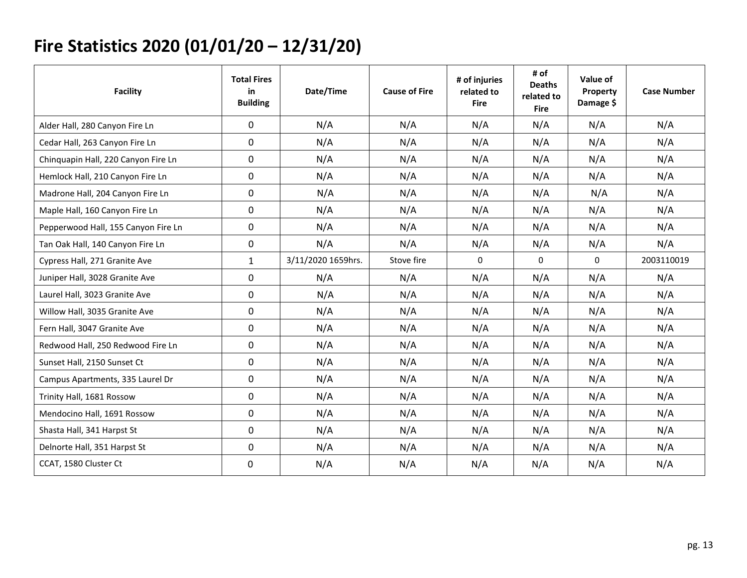# **Fire Statistics 2020 (01/01/20 – 12/31/20)**

<span id="page-14-0"></span>

| <b>Facility</b>                     | <b>Total Fires</b><br>in<br><b>Building</b> | Date/Time          | <b>Cause of Fire</b> | # of injuries<br>related to<br><b>Fire</b> | # of<br><b>Deaths</b><br>related to<br><b>Fire</b> | Value of<br>Property<br>Damage \$ | <b>Case Number</b> |
|-------------------------------------|---------------------------------------------|--------------------|----------------------|--------------------------------------------|----------------------------------------------------|-----------------------------------|--------------------|
| Alder Hall, 280 Canyon Fire Ln      | $\mathbf 0$                                 | N/A                | N/A                  | N/A                                        | N/A                                                | N/A                               | N/A                |
| Cedar Hall, 263 Canyon Fire Ln      | $\mathbf 0$                                 | N/A                | N/A                  | N/A                                        | N/A                                                | N/A                               | N/A                |
| Chinquapin Hall, 220 Canyon Fire Ln | 0                                           | N/A                | N/A                  | N/A                                        | N/A                                                | N/A                               | N/A                |
| Hemlock Hall, 210 Canyon Fire Ln    | 0                                           | N/A                | N/A                  | N/A                                        | N/A                                                | N/A                               | N/A                |
| Madrone Hall, 204 Canyon Fire Ln    | 0                                           | N/A                | N/A                  | N/A                                        | N/A                                                | N/A                               | N/A                |
| Maple Hall, 160 Canyon Fire Ln      | 0                                           | N/A                | N/A                  | N/A                                        | N/A                                                | N/A                               | N/A                |
| Pepperwood Hall, 155 Canyon Fire Ln | 0                                           | N/A                | N/A                  | N/A                                        | N/A                                                | N/A                               | N/A                |
| Tan Oak Hall, 140 Canyon Fire Ln    | 0                                           | N/A                | N/A                  | N/A                                        | N/A                                                | N/A                               | N/A                |
| Cypress Hall, 271 Granite Ave       | $\mathbf{1}$                                | 3/11/2020 1659hrs. | Stove fire           | $\Omega$                                   | $\mathbf 0$                                        | $\Omega$                          | 2003110019         |
| Juniper Hall, 3028 Granite Ave      | $\mathbf 0$                                 | N/A                | N/A                  | N/A                                        | N/A                                                | N/A                               | N/A                |
| Laurel Hall, 3023 Granite Ave       | $\mathbf 0$                                 | N/A                | N/A                  | N/A                                        | N/A                                                | N/A                               | N/A                |
| Willow Hall, 3035 Granite Ave       | 0                                           | N/A                | N/A                  | N/A                                        | N/A                                                | N/A                               | N/A                |
| Fern Hall, 3047 Granite Ave         | $\mathbf 0$                                 | N/A                | N/A                  | N/A                                        | N/A                                                | N/A                               | N/A                |
| Redwood Hall, 250 Redwood Fire Ln   | $\mathbf 0$                                 | N/A                | N/A                  | N/A                                        | N/A                                                | N/A                               | N/A                |
| Sunset Hall, 2150 Sunset Ct         | $\mathbf 0$                                 | N/A                | N/A                  | N/A                                        | N/A                                                | N/A                               | N/A                |
| Campus Apartments, 335 Laurel Dr    | $\mathbf 0$                                 | N/A                | N/A                  | N/A                                        | N/A                                                | N/A                               | N/A                |
| Trinity Hall, 1681 Rossow           | $\mathbf 0$                                 | N/A                | N/A                  | N/A                                        | N/A                                                | N/A                               | N/A                |
| Mendocino Hall, 1691 Rossow         | 0                                           | N/A                | N/A                  | N/A                                        | N/A                                                | N/A                               | N/A                |
| Shasta Hall, 341 Harpst St          | 0                                           | N/A                | N/A                  | N/A                                        | N/A                                                | N/A                               | N/A                |
| Delnorte Hall, 351 Harpst St        | 0                                           | N/A                | N/A                  | N/A                                        | N/A                                                | N/A                               | N/A                |
| CCAT, 1580 Cluster Ct               | 0                                           | N/A                | N/A                  | N/A                                        | N/A                                                | N/A                               | N/A                |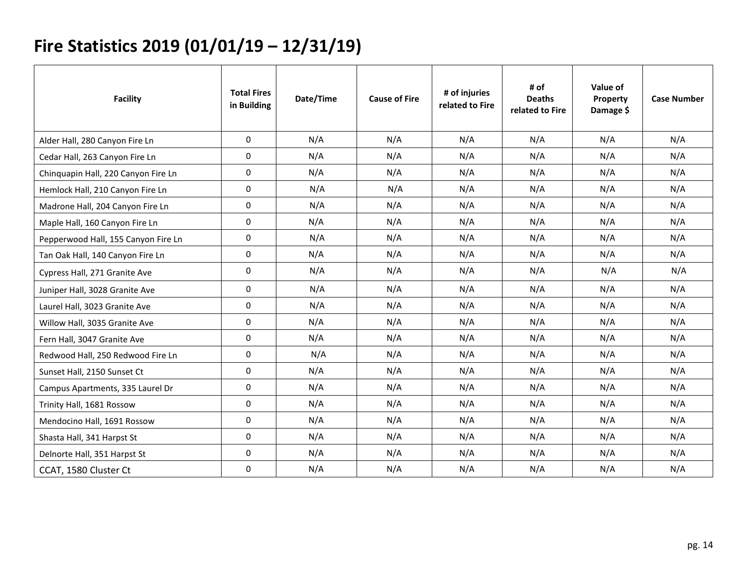# **Fire Statistics 2019 (01/01/19 – 12/31/19)**

<span id="page-15-0"></span>

| <b>Facility</b>                     | <b>Total Fires</b><br>in Building | Date/Time | <b>Cause of Fire</b> | # of injuries<br>related to Fire | # of<br><b>Deaths</b><br>related to Fire | Value of<br>Property<br>Damage \$ | <b>Case Number</b> |
|-------------------------------------|-----------------------------------|-----------|----------------------|----------------------------------|------------------------------------------|-----------------------------------|--------------------|
| Alder Hall, 280 Canyon Fire Ln      | $\Omega$                          | N/A       | N/A                  | N/A                              | N/A                                      | N/A                               | N/A                |
| Cedar Hall, 263 Canyon Fire Ln      | 0                                 | N/A       | N/A                  | N/A                              | N/A                                      | N/A                               | N/A                |
| Chinquapin Hall, 220 Canyon Fire Ln | 0                                 | N/A       | N/A                  | N/A                              | N/A                                      | N/A                               | N/A                |
| Hemlock Hall, 210 Canyon Fire Ln    | 0                                 | N/A       | N/A                  | N/A                              | N/A                                      | N/A                               | N/A                |
| Madrone Hall, 204 Canyon Fire Ln    | $\Omega$                          | N/A       | N/A                  | N/A                              | N/A                                      | N/A                               | N/A                |
| Maple Hall, 160 Canyon Fire Ln      | $\Omega$                          | N/A       | N/A                  | N/A                              | N/A                                      | N/A                               | N/A                |
| Pepperwood Hall, 155 Canyon Fire Ln | 0                                 | N/A       | N/A                  | N/A                              | N/A                                      | N/A                               | N/A                |
| Tan Oak Hall, 140 Canyon Fire Ln    | 0                                 | N/A       | N/A                  | N/A                              | N/A                                      | N/A                               | N/A                |
| Cypress Hall, 271 Granite Ave       | $\mathbf{0}$                      | N/A       | N/A                  | N/A                              | N/A                                      | N/A                               | N/A                |
| Juniper Hall, 3028 Granite Ave      | $\Omega$                          | N/A       | N/A                  | N/A                              | N/A                                      | N/A                               | N/A                |
| Laurel Hall, 3023 Granite Ave       | 0                                 | N/A       | N/A                  | N/A                              | N/A                                      | N/A                               | N/A                |
| Willow Hall, 3035 Granite Ave       | $\Omega$                          | N/A       | N/A                  | N/A                              | N/A                                      | N/A                               | N/A                |
| Fern Hall, 3047 Granite Ave         | 0                                 | N/A       | N/A                  | N/A                              | N/A                                      | N/A                               | N/A                |
| Redwood Hall, 250 Redwood Fire Ln   | 0                                 | N/A       | N/A                  | N/A                              | N/A                                      | N/A                               | N/A                |
| Sunset Hall, 2150 Sunset Ct         | 0                                 | N/A       | N/A                  | N/A                              | N/A                                      | N/A                               | N/A                |
| Campus Apartments, 335 Laurel Dr    | $\Omega$                          | N/A       | N/A                  | N/A                              | N/A                                      | N/A                               | N/A                |
| Trinity Hall, 1681 Rossow           | 0                                 | N/A       | N/A                  | N/A                              | N/A                                      | N/A                               | N/A                |
| Mendocino Hall, 1691 Rossow         | 0                                 | N/A       | N/A                  | N/A                              | N/A                                      | N/A                               | N/A                |
| Shasta Hall, 341 Harpst St          | $\Omega$                          | N/A       | N/A                  | N/A                              | N/A                                      | N/A                               | N/A                |
| Delnorte Hall, 351 Harpst St        | 0                                 | N/A       | N/A                  | N/A                              | N/A                                      | N/A                               | N/A                |
| CCAT, 1580 Cluster Ct               | 0                                 | N/A       | N/A                  | N/A                              | N/A                                      | N/A                               | N/A                |